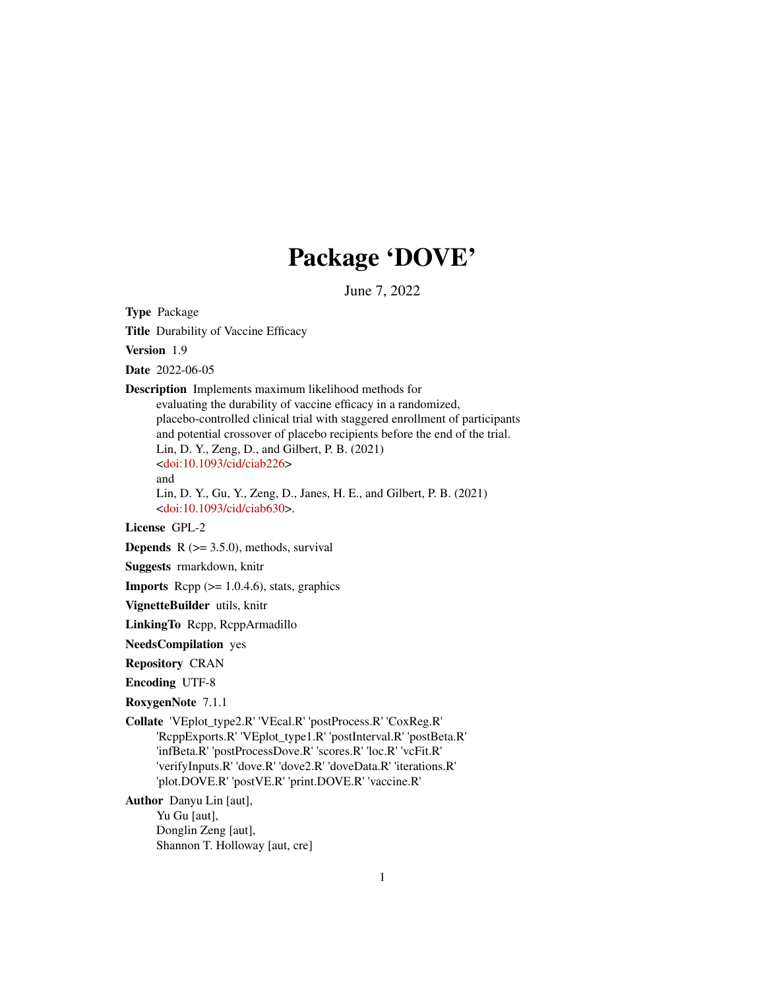## Package 'DOVE'

June 7, 2022

Type Package

Title Durability of Vaccine Efficacy

Version 1.9

Date 2022-06-05

Description Implements maximum likelihood methods for

evaluating the durability of vaccine efficacy in a randomized, placebo-controlled clinical trial with staggered enrollment of participants and potential crossover of placebo recipients before the end of the trial. Lin, D. Y., Zeng, D., and Gilbert, P. B. (2021) [<doi:10.1093/cid/ciab226>](https://doi.org/10.1093/cid/ciab226) and

Lin, D. Y., Gu, Y., Zeng, D., Janes, H. E., and Gilbert, P. B. (2021) [<doi:10.1093/cid/ciab630>](https://doi.org/10.1093/cid/ciab630).

#### License GPL-2

**Depends**  $R$  ( $>= 3.5.0$ ), methods, survival

Suggests rmarkdown, knitr

**Imports** Rcpp  $(>= 1.0.4.6)$ , stats, graphics

VignetteBuilder utils, knitr

LinkingTo Rcpp, RcppArmadillo

NeedsCompilation yes

Repository CRAN

Encoding UTF-8

RoxygenNote 7.1.1

Collate 'VEplot\_type2.R' 'VEcal.R' 'postProcess.R' 'CoxReg.R' 'RcppExports.R' 'VEplot\_type1.R' 'postInterval.R' 'postBeta.R' 'infBeta.R' 'postProcessDove.R' 'scores.R' 'loc.R' 'vcFit.R' 'verifyInputs.R' 'dove.R' 'dove2.R' 'doveData.R' 'iterations.R' 'plot.DOVE.R' 'postVE.R' 'print.DOVE.R' 'vaccine.R'

Author Danyu Lin [aut], Yu Gu [aut], Donglin Zeng [aut], Shannon T. Holloway [aut, cre]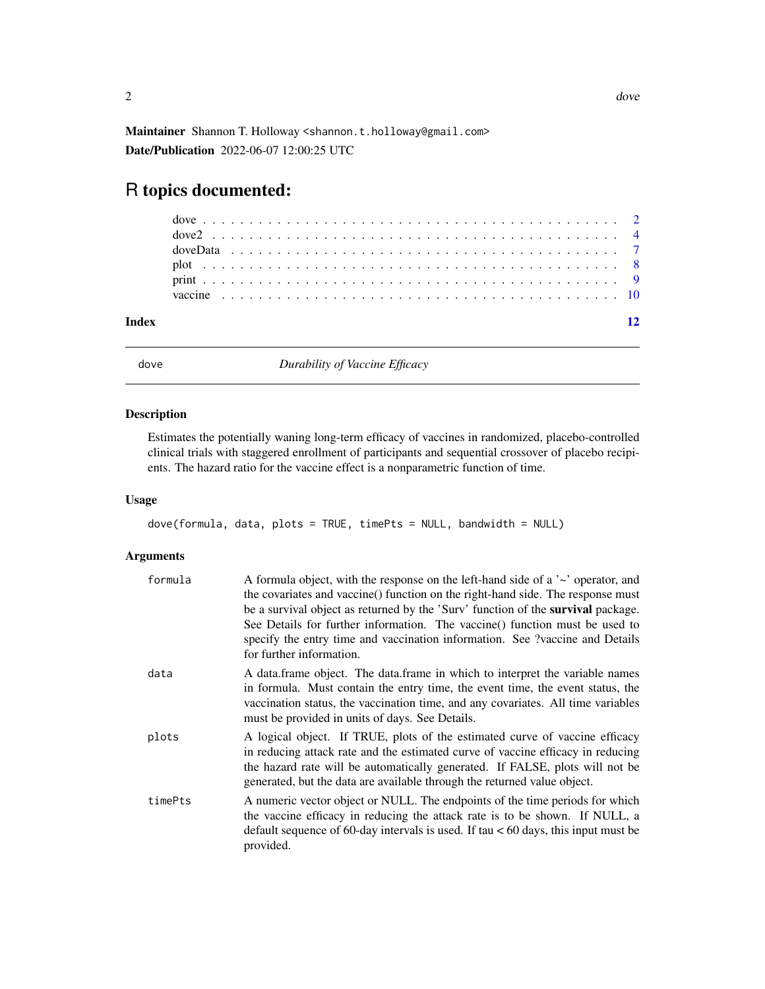<span id="page-1-0"></span>Maintainer Shannon T. Holloway <shannon.t.holloway@gmail.com> Date/Publication 2022-06-07 12:00:25 UTC

### R topics documented:

dove *Durability of Vaccine Efficacy*

#### Description

Estimates the potentially waning long-term efficacy of vaccines in randomized, placebo-controlled clinical trials with staggered enrollment of participants and sequential crossover of placebo recipients. The hazard ratio for the vaccine effect is a nonparametric function of time.

#### Usage

```
dove(formula, data, plots = TRUE, timePts = NULL, bandwidth = NULL)
```
#### Arguments

| formula | A formula object, with the response on the left-hand side of a $\sim$ operator, and<br>the covariates and vaccine() function on the right-hand side. The response must<br>be a survival object as returned by the 'Surv' function of the <b>survival</b> package.<br>See Details for further information. The vaccine () function must be used to<br>specify the entry time and vaccination information. See ?vaccine and Details<br>for further information. |
|---------|---------------------------------------------------------------------------------------------------------------------------------------------------------------------------------------------------------------------------------------------------------------------------------------------------------------------------------------------------------------------------------------------------------------------------------------------------------------|
| data    | A data frame object. The data frame in which to interpret the variable names<br>in formula. Must contain the entry time, the event time, the event status, the<br>vaccination status, the vaccination time, and any covariates. All time variables<br>must be provided in units of days. See Details.                                                                                                                                                         |
| plots   | A logical object. If TRUE, plots of the estimated curve of vaccine efficacy<br>in reducing attack rate and the estimated curve of vaccine efficacy in reducing<br>the hazard rate will be automatically generated. If FALSE, plots will not be<br>generated, but the data are available through the returned value object.                                                                                                                                    |
| timePts | A numeric vector object or NULL. The endpoints of the time periods for which<br>the vaccine efficacy in reducing the attack rate is to be shown. If NULL, a<br>default sequence of 60-day intervals is used. If tau $< 60$ days, this input must be<br>provided.                                                                                                                                                                                              |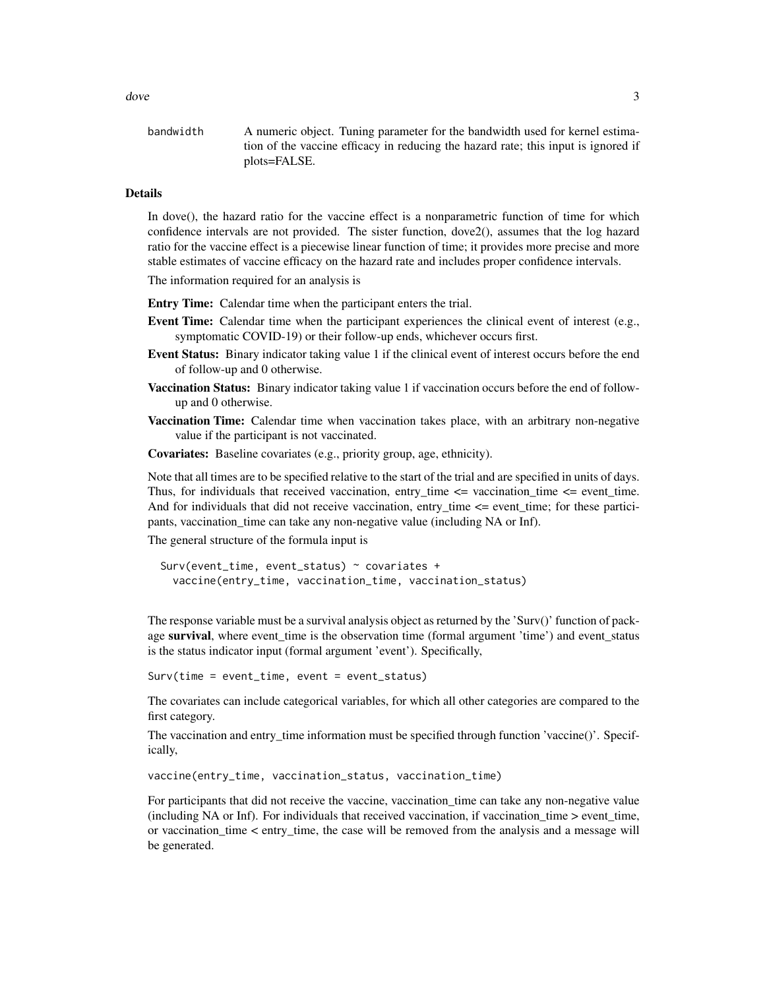bandwidth A numeric object. Tuning parameter for the bandwidth used for kernel estimation of the vaccine efficacy in reducing the hazard rate; this input is ignored if plots=FALSE.

#### Details

In dove(), the hazard ratio for the vaccine effect is a nonparametric function of time for which confidence intervals are not provided. The sister function, dove2(), assumes that the log hazard ratio for the vaccine effect is a piecewise linear function of time; it provides more precise and more stable estimates of vaccine efficacy on the hazard rate and includes proper confidence intervals.

The information required for an analysis is

Entry Time: Calendar time when the participant enters the trial.

- Event Time: Calendar time when the participant experiences the clinical event of interest (e.g., symptomatic COVID-19) or their follow-up ends, whichever occurs first.
- Event Status: Binary indicator taking value 1 if the clinical event of interest occurs before the end of follow-up and 0 otherwise.
- Vaccination Status: Binary indicator taking value 1 if vaccination occurs before the end of followup and 0 otherwise.
- Vaccination Time: Calendar time when vaccination takes place, with an arbitrary non-negative value if the participant is not vaccinated.
- Covariates: Baseline covariates (e.g., priority group, age, ethnicity).

Note that all times are to be specified relative to the start of the trial and are specified in units of days. Thus, for individuals that received vaccination, entry time  $\leq$  vaccination time  $\leq$  event time. And for individuals that did not receive vaccination, entry\_time <= event\_time; for these participants, vaccination\_time can take any non-negative value (including NA or Inf).

The general structure of the formula input is

```
Surv(event_time, event_status) ~ covariates +
 vaccine(entry_time, vaccination_time, vaccination_status)
```
The response variable must be a survival analysis object as returned by the 'Surv()' function of package survival, where event time is the observation time (formal argument 'time') and event status is the status indicator input (formal argument 'event'). Specifically,

```
Surv(time = event_time, event = event_status)
```
The covariates can include categorical variables, for which all other categories are compared to the first category.

The vaccination and entry\_time information must be specified through function 'vaccine()'. Specifically,

vaccine(entry\_time, vaccination\_status, vaccination\_time)

For participants that did not receive the vaccine, vaccination time can take any non-negative value (including NA or Inf). For individuals that received vaccination, if vaccination\_time > event\_time, or vaccination\_time < entry\_time, the case will be removed from the analysis and a message will be generated.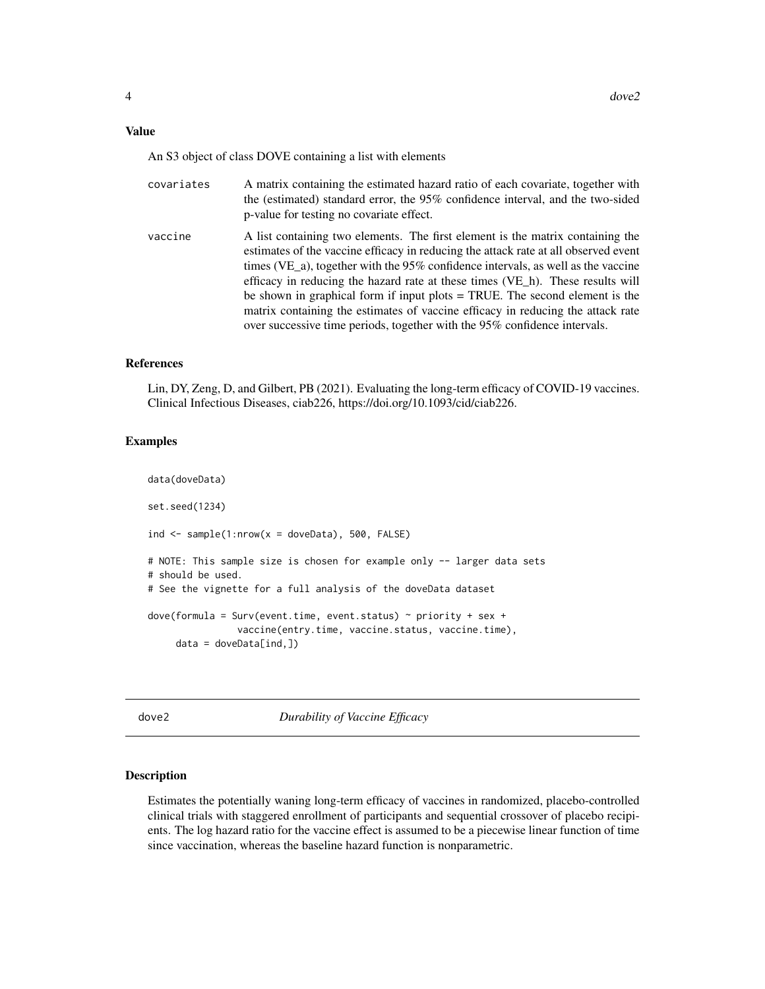#### <span id="page-3-0"></span>Value

An S3 object of class DOVE containing a list with elements

| covariates | A matrix containing the estimated hazard ratio of each covariate, together with<br>the (estimated) standard error, the 95% confidence interval, and the two-sided<br>p-value for testing no covariate effect.                                                                                                                                                                                                                                                                                                                                                                                   |
|------------|-------------------------------------------------------------------------------------------------------------------------------------------------------------------------------------------------------------------------------------------------------------------------------------------------------------------------------------------------------------------------------------------------------------------------------------------------------------------------------------------------------------------------------------------------------------------------------------------------|
| vaccine    | A list containing two elements. The first element is the matrix containing the<br>estimates of the vaccine efficacy in reducing the attack rate at all observed event<br>times (VE_a), together with the $95\%$ confidence intervals, as well as the vaccine<br>efficacy in reducing the hazard rate at these times (VE h). These results will<br>be shown in graphical form if input plots $=$ TRUE. The second element is the<br>matrix containing the estimates of vaccine efficacy in reducing the attack rate<br>over successive time periods, together with the 95% confidence intervals. |

#### References

Lin, DY, Zeng, D, and Gilbert, PB (2021). Evaluating the long-term efficacy of COVID-19 vaccines. Clinical Infectious Diseases, ciab226, https://doi.org/10.1093/cid/ciab226.

#### Examples

```
data(doveData)
set.seed(1234)
ind \le sample(1:nrow(x = doveData), 500, FALSE)
# NOTE: This sample size is chosen for example only -- larger data sets
# should be used.
# See the vignette for a full analysis of the doveData dataset
dove(formula = Surv(event.time, event.status) \sim priority + sex +
                vaccine(entry.time, vaccine.status, vaccine.time),
     data = doveData[ind,])
```
dove2 *Durability of Vaccine Efficacy*

#### Description

Estimates the potentially waning long-term efficacy of vaccines in randomized, placebo-controlled clinical trials with staggered enrollment of participants and sequential crossover of placebo recipients. The log hazard ratio for the vaccine effect is assumed to be a piecewise linear function of time since vaccination, whereas the baseline hazard function is nonparametric.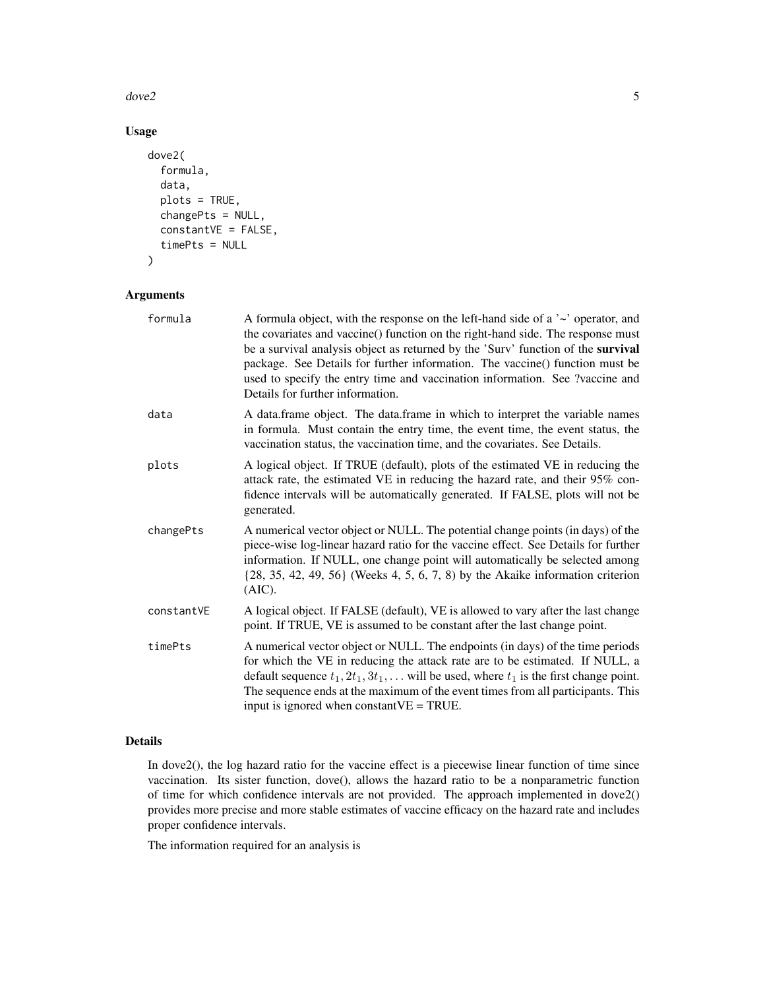$dove2$  5

#### Usage

```
dove2(
  formula,
  data,
 plots = TRUE,
  changePts = NULL,
  constantVE = FALSE,
  timePts = NULL
)
```
#### Arguments

| formula    | A formula object, with the response on the left-hand side of a $\sim$ operator, and<br>the covariates and vaccine() function on the right-hand side. The response must<br>be a survival analysis object as returned by the 'Surv' function of the survival<br>package. See Details for further information. The vaccine() function must be<br>used to specify the entry time and vaccination information. See ?vaccine and<br>Details for further information. |
|------------|----------------------------------------------------------------------------------------------------------------------------------------------------------------------------------------------------------------------------------------------------------------------------------------------------------------------------------------------------------------------------------------------------------------------------------------------------------------|
| data       | A data.frame object. The data.frame in which to interpret the variable names<br>in formula. Must contain the entry time, the event time, the event status, the<br>vaccination status, the vaccination time, and the covariates. See Details.                                                                                                                                                                                                                   |
| plots      | A logical object. If TRUE (default), plots of the estimated VE in reducing the<br>attack rate, the estimated VE in reducing the hazard rate, and their 95% con-<br>fidence intervals will be automatically generated. If FALSE, plots will not be<br>generated.                                                                                                                                                                                                |
| changePts  | A numerical vector object or NULL. The potential change points (in days) of the<br>piece-wise log-linear hazard ratio for the vaccine effect. See Details for further<br>information. If NULL, one change point will automatically be selected among<br>$\{28, 35, 42, 49, 56\}$ (Weeks 4, 5, 6, 7, 8) by the Akaike information criterion<br>(AIC).                                                                                                           |
| constantVE | A logical object. If FALSE (default), VE is allowed to vary after the last change<br>point. If TRUE, VE is assumed to be constant after the last change point.                                                                                                                                                                                                                                                                                                 |
| timePts    | A numerical vector object or NULL. The endpoints (in days) of the time periods<br>for which the VE in reducing the attack rate are to be estimated. If NULL, a<br>default sequence $t_1, 2t_1, 3t_1, \ldots$ will be used, where $t_1$ is the first change point.<br>The sequence ends at the maximum of the event times from all participants. This<br>input is ignored when constant $VE = TRUE$ .                                                           |

#### Details

In dove2(), the log hazard ratio for the vaccine effect is a piecewise linear function of time since vaccination. Its sister function, dove(), allows the hazard ratio to be a nonparametric function of time for which confidence intervals are not provided. The approach implemented in dove2() provides more precise and more stable estimates of vaccine efficacy on the hazard rate and includes proper confidence intervals.

The information required for an analysis is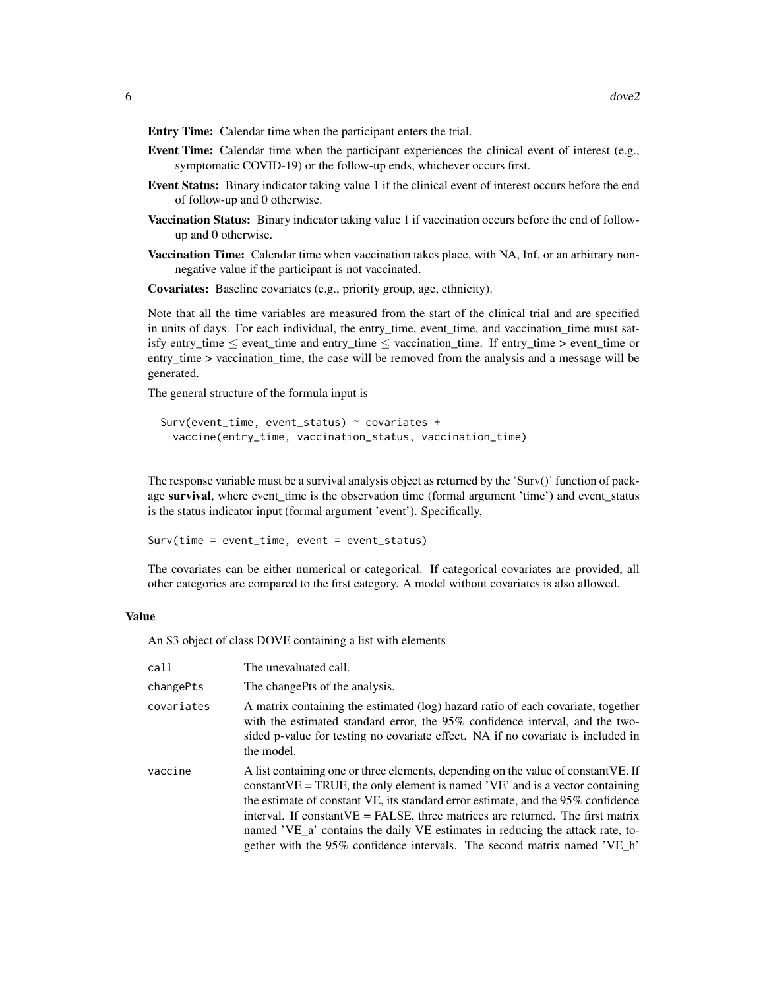- Entry Time: Calendar time when the participant enters the trial.
- Event Time: Calendar time when the participant experiences the clinical event of interest (e.g., symptomatic COVID-19) or the follow-up ends, whichever occurs first.
- Event Status: Binary indicator taking value 1 if the clinical event of interest occurs before the end of follow-up and 0 otherwise.
- Vaccination Status: Binary indicator taking value 1 if vaccination occurs before the end of followup and 0 otherwise.
- Vaccination Time: Calendar time when vaccination takes place, with NA, Inf, or an arbitrary nonnegative value if the participant is not vaccinated.
- Covariates: Baseline covariates (e.g., priority group, age, ethnicity).

Note that all the time variables are measured from the start of the clinical trial and are specified in units of days. For each individual, the entry\_time, event\_time, and vaccination\_time must satisfy entry\_time  $\le$  event\_time and entry\_time  $\le$  vaccination\_time. If entry\_time > event\_time or entry time > vaccination time, the case will be removed from the analysis and a message will be generated.

The general structure of the formula input is

```
Surv(event_time, event_status) ~ covariates +
  vaccine(entry_time, vaccination_status, vaccination_time)
```
The response variable must be a survival analysis object as returned by the 'Surv()' function of package survival, where event time is the observation time (formal argument 'time') and event status is the status indicator input (formal argument 'event'). Specifically,

Surv(time = event\_time, event = event\_status)

The covariates can be either numerical or categorical. If categorical covariates are provided, all other categories are compared to the first category. A model without covariates is also allowed.

#### Value

An S3 object of class DOVE containing a list with elements

| call       | The unevaluated call.                                                                                                                                                                                                                                                                                                                                                                                                                                                                                         |
|------------|---------------------------------------------------------------------------------------------------------------------------------------------------------------------------------------------------------------------------------------------------------------------------------------------------------------------------------------------------------------------------------------------------------------------------------------------------------------------------------------------------------------|
| changePts  | The changePts of the analysis.                                                                                                                                                                                                                                                                                                                                                                                                                                                                                |
| covariates | A matrix containing the estimated (log) hazard ratio of each covariate, together<br>with the estimated standard error, the 95% confidence interval, and the two-<br>sided p-value for testing no covariate effect. NA if no covariate is included in<br>the model.                                                                                                                                                                                                                                            |
| vaccine    | A list containing one or three elements, depending on the value of constant VE. If<br>constant $VE = TRUE$ , the only element is named 'VE' and is a vector containing<br>the estimate of constant VE, its standard error estimate, and the 95% confidence<br>interval. If constant $VE = FALSE$ , three matrices are returned. The first matrix<br>named 'VE_a' contains the daily VE estimates in reducing the attack rate, to-<br>gether with the 95% confidence intervals. The second matrix named 'VE_h' |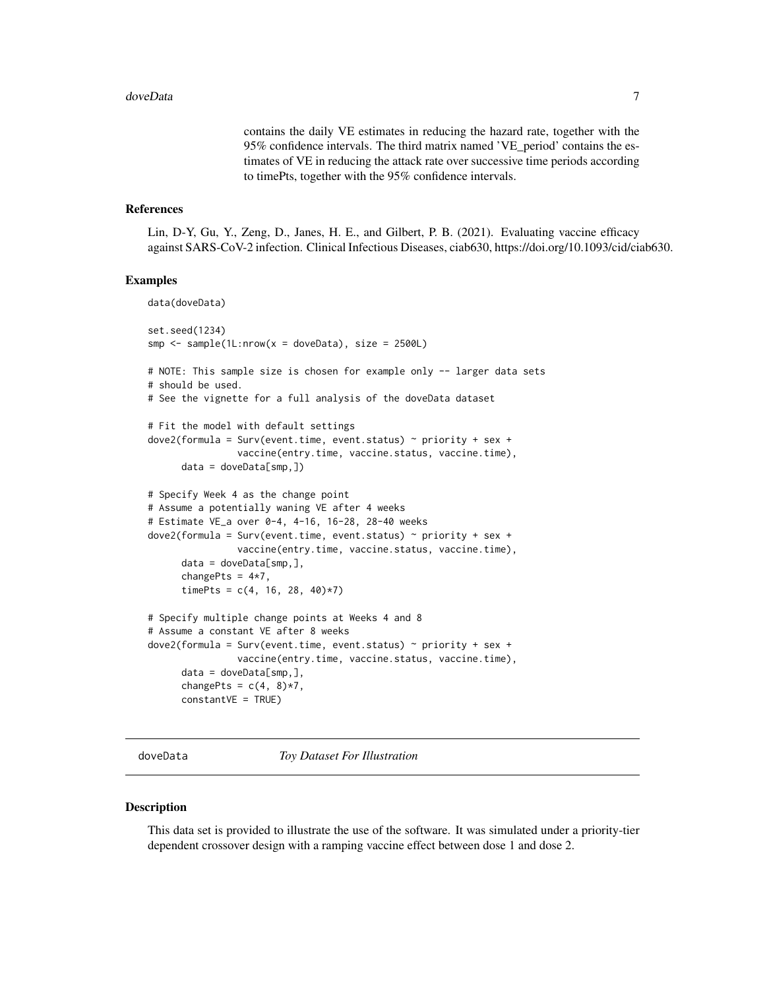contains the daily VE estimates in reducing the hazard rate, together with the 95% confidence intervals. The third matrix named 'VE\_period' contains the estimates of VE in reducing the attack rate over successive time periods according to timePts, together with the 95% confidence intervals.

#### <span id="page-6-0"></span>References

Lin, D-Y, Gu, Y., Zeng, D., Janes, H. E., and Gilbert, P. B. (2021). Evaluating vaccine efficacy against SARS-CoV-2 infection. Clinical Infectious Diseases, ciab630, https://doi.org/10.1093/cid/ciab630.

#### Examples

```
data(doveData)
set.seed(1234)
smp \le sample(1L:nrow(x = doveData), size = 2500L)
# NOTE: This sample size is chosen for example only -- larger data sets
# should be used.
# See the vignette for a full analysis of the doveData dataset
# Fit the model with default settings
dove2(formula = Surv(event.time, event.status) ~ priority + sex +
                vaccine(entry.time, vaccine.status, vaccine.time),
      data = doveData[smp, ])# Specify Week 4 as the change point
# Assume a potentially waning VE after 4 weeks
# Estimate VE_a over 0-4, 4-16, 16-28, 28-40 weeks
dove2(formula = Surv(event.time, event.status) ~ priority + sex +
                vaccine(entry.time, vaccine.status, vaccine.time),
      data = doveData[smp,],
      changePts = 4*7,
      timePts = c(4, 16, 28, 40)*7)
# Specify multiple change points at Weeks 4 and 8
# Assume a constant VE after 8 weeks
dove2(formula = Survey(event.time, event.status) ~ priority + sex +vaccine(entry.time, vaccine.status, vaccine.time),
      data = doveData[smp,],changePts = c(4, 8)*7,
      constantVE = TRUE)
```
doveData *Toy Dataset For Illustration*

#### Description

This data set is provided to illustrate the use of the software. It was simulated under a priority-tier dependent crossover design with a ramping vaccine effect between dose 1 and dose 2.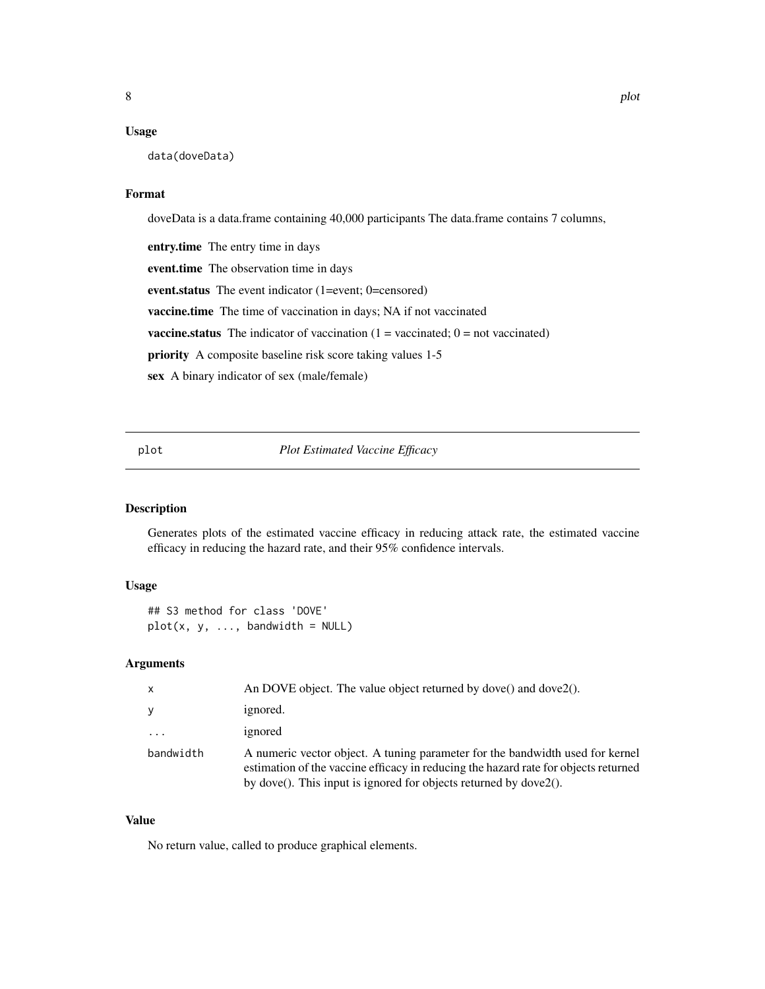#### <span id="page-7-0"></span>Usage

data(doveData)

#### Format

doveData is a data.frame containing 40,000 participants The data.frame contains 7 columns, entry.time The entry time in days event.time The observation time in days event.status The event indicator (1=event; 0=censored) vaccine.time The time of vaccination in days; NA if not vaccinated **vaccine.status** The indicator of vaccination  $(1 = vacuum)$  vaccinated;  $0 = not$  vaccinated) priority A composite baseline risk score taking values 1-5 sex A binary indicator of sex (male/female)

plot *Plot Estimated Vaccine Efficacy*

#### Description

Generates plots of the estimated vaccine efficacy in reducing attack rate, the estimated vaccine efficacy in reducing the hazard rate, and their 95% confidence intervals.

#### Usage

```
## S3 method for class 'DOVE'
plot(x, y, ..., bandwidth = NULL)
```
#### Arguments

| $\mathsf{x}$ | An DOVE object. The value object returned by dove() and dove $2()$ .                                                                                                                                                                      |
|--------------|-------------------------------------------------------------------------------------------------------------------------------------------------------------------------------------------------------------------------------------------|
| <b>V</b>     | ignored.                                                                                                                                                                                                                                  |
| .            | ignored                                                                                                                                                                                                                                   |
| bandwidth    | A numeric vector object. A tuning parameter for the bandwidth used for kernel<br>estimation of the vaccine efficacy in reducing the hazard rate for objects returned<br>by dove(). This input is ignored for objects returned by dove2(). |

#### Value

No return value, called to produce graphical elements.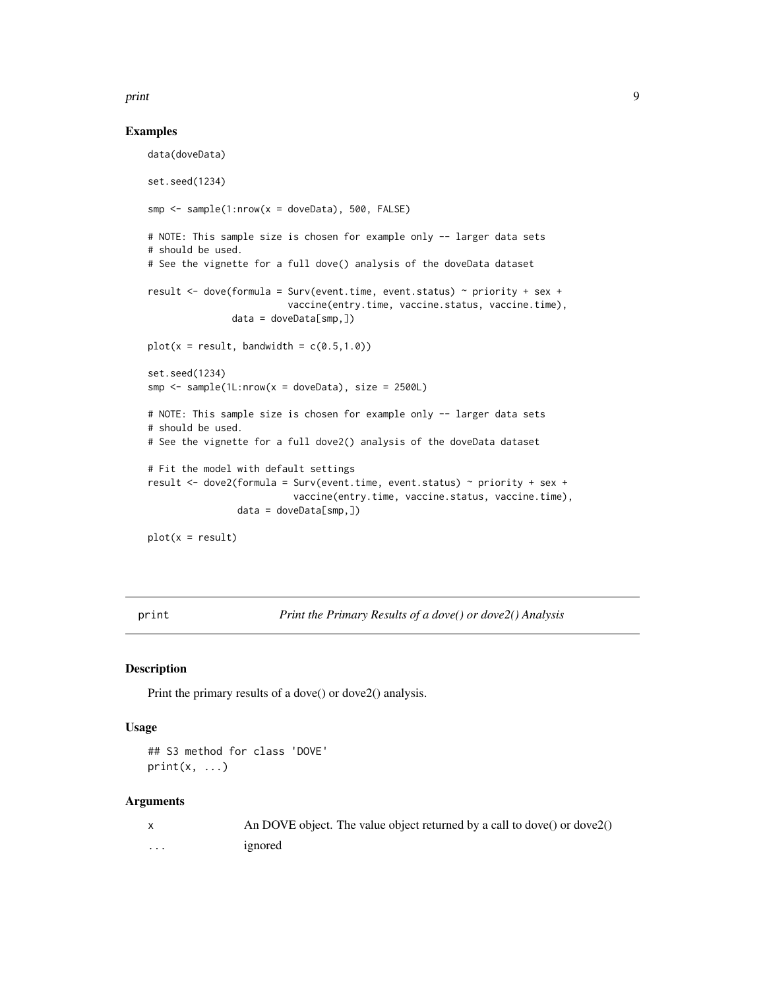#### <span id="page-8-0"></span>print the contract of the contract of the contract of the contract of the contract of the contract of the contract of the contract of the contract of the contract of the contract of the contract of the contract of the cont

#### Examples

data(doveData)

```
set.seed(1234)
smp \le - sample(1:nrow(x = doveData), 500, FALSE)
# NOTE: This sample size is chosen for example only -- larger data sets
# should be used.
# See the vignette for a full dove() analysis of the doveData dataset
result <- dove(formula = Surv(event.time, event.status) ~ priority + sex +
                         vaccine(entry.time, vaccine.status, vaccine.time),
               data = doveData[smp,])
plot(x = result, bandwidth = c(0.5, 1.0))set.seed(1234)
smp \le sample(1L:nrow(x = doveData), size = 2500L)
# NOTE: This sample size is chosen for example only -- larger data sets
# should be used.
# See the vignette for a full dove2() analysis of the doveData dataset
# Fit the model with default settings
result <- dove2(formula = Surv(event.time, event.status) ~ priority + sex +
                          vaccine(entry.time, vaccine.status, vaccine.time),
                data = doveData[smp, ])plot(x = result)
```
print *Print the Primary Results of a dove() or dove2() Analysis*

#### Description

Print the primary results of a dove() or dove2() analysis.

#### Usage

```
## S3 method for class 'DOVE'
print(x, \ldots)
```
#### Arguments

|   | An DOVE object. The value object returned by a call to dove() or dove $(2)$ |
|---|-----------------------------------------------------------------------------|
| . | ignored                                                                     |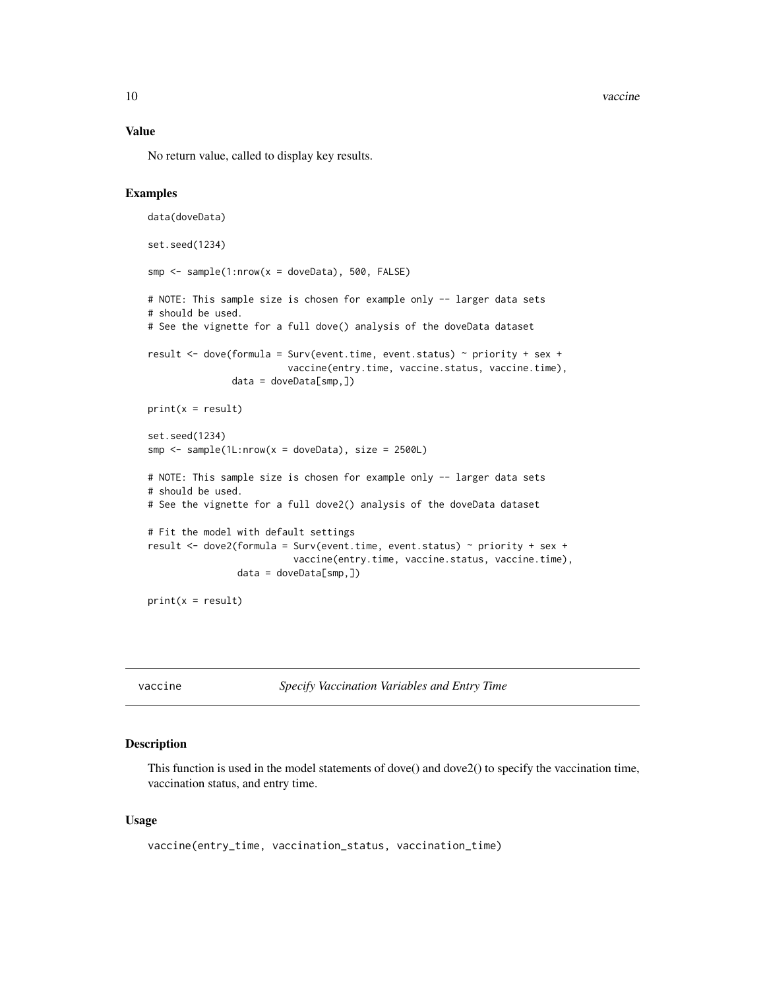<span id="page-9-0"></span>10 vaccine vaccine vaccine vaccine vaccine vaccine vaccine vaccine vaccine vaccine vaccine vaccine vaccine vaccine vaccine vaccine vaccine vaccine vaccine vaccine vaccine vaccine vaccine vaccine vaccine vaccine vaccine vac

#### Value

No return value, called to display key results.

#### Examples

```
data(doveData)
set.seed(1234)
smp \le - sample(1:nrow(x = doveData), 500, FALSE)
# NOTE: This sample size is chosen for example only -- larger data sets
# should be used.
# See the vignette for a full dove() analysis of the doveData dataset
result <- dove(formula = Surv(event.time, event.status) ~ priority + sex +
                         vaccine(entry.time, vaccine.status, vaccine.time),
               data = doveData[smp, ])print(x = result)set.seed(1234)
smp \le sample(1L:nrow(x = doveData), size = 2500L)
# NOTE: This sample size is chosen for example only -- larger data sets
# should be used.
# See the vignette for a full dove2() analysis of the doveData dataset
# Fit the model with default settings
result <- dove2(formula = Surv(event.time, event.status) ~ priority + sex +
                          vaccine(entry.time, vaccine.status, vaccine.time),
                data = doveData[smp,])print(x = result)
```
vaccine *Specify Vaccination Variables and Entry Time*

#### Description

This function is used in the model statements of dove() and dove2() to specify the vaccination time, vaccination status, and entry time.

#### Usage

```
vaccine(entry_time, vaccination_status, vaccination_time)
```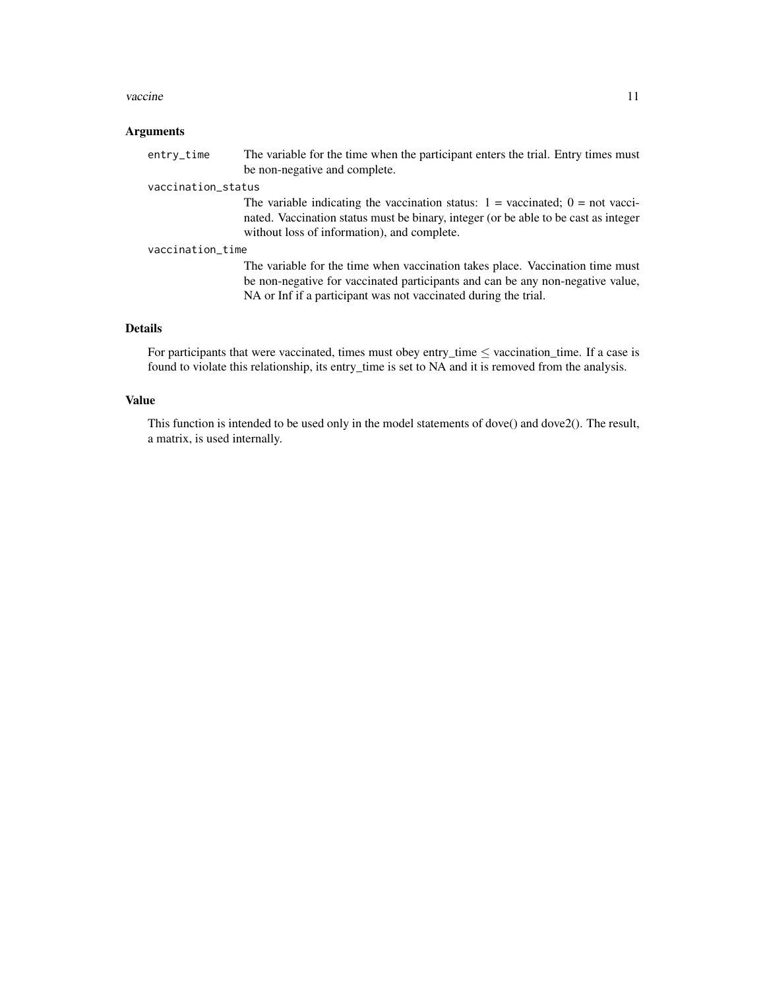#### vaccine 11

#### Arguments

entry\_time The variable for the time when the participant enters the trial. Entry times must be non-negative and complete.

#### vaccination\_status

The variable indicating the vaccination status:  $1 =$  vaccinated;  $0 =$  not vaccinated. Vaccination status must be binary, integer (or be able to be cast as integer without loss of information), and complete.

#### vaccination\_time

The variable for the time when vaccination takes place. Vaccination time must be non-negative for vaccinated participants and can be any non-negative value, NA or Inf if a participant was not vaccinated during the trial.

#### Details

For participants that were vaccinated, times must obey entry\_time  $\leq$  vaccination\_time. If a case is found to violate this relationship, its entry\_time is set to NA and it is removed from the analysis.

#### Value

This function is intended to be used only in the model statements of dove() and dove2(). The result, a matrix, is used internally.